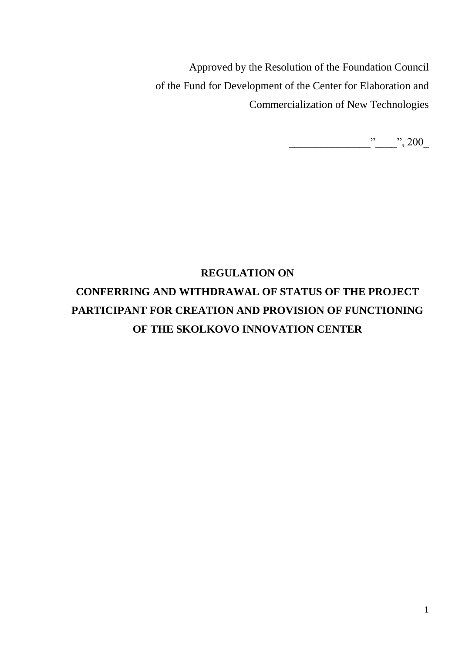Approved by the Resolution of the Foundation Council of the Fund for Development of the Center for Elaboration and Commercialization of New Technologies

\_\_\_\_\_\_\_\_\_\_\_\_\_\_\_"\_\_\_\_", 200\_

# **REGULATION ON**

# **CONFERRING AND WITHDRAWAL OF STATUS OF THE PROJECT PARTICIPANT FOR CREATION AND PROVISION OF FUNCTIONING OF THE SKOLKOVO INNOVATION CENTER**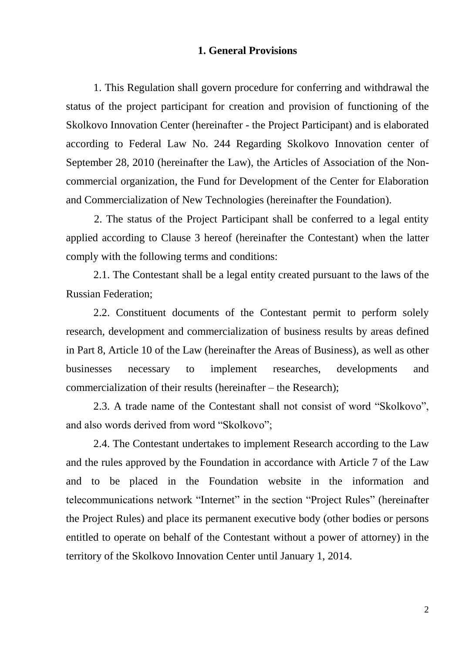#### **1. General Provisions**

1. This Regulation shall govern procedure for conferring and withdrawal the status of the project participant for creation and provision of functioning of the Skolkovo Innovation Center (hereinafter - the Project Participant) and is elaborated according to Federal Law No. 244 Regarding Skolkovo Innovation center of September 28, 2010 (hereinafter the Law), the Articles of Association of the Noncommercial organization, the Fund for Development of the Center for Elaboration and Commercialization of New Technologies (hereinafter the Foundation).

2. The status of the Project Participant shall be conferred to a legal entity applied according to Clause 3 hereof (hereinafter the Contestant) when the latter comply with the following terms and conditions:

2.1. The Contestant shall be a legal entity created pursuant to the laws of the Russian Federation;

2.2. Constituent documents of the Contestant permit to perform solely research, development and commercialization of business results by areas defined in Part 8, Article 10 of the Law (hereinafter the Areas of Business), as well as other businesses necessary to implement researches, developments and commercialization of their results (hereinafter – the Research);

2.3. A trade name of the Contestant shall not consist of word "Skolkovo", and also words derived from word "Skolkovo";

2.4. The Contestant undertakes to implement Research according to the Law and the rules approved by the Foundation in accordance with Article 7 of the Law and to be placed in the Foundation website in the information and telecommunications network "Internet" in the section "Project Rules" (hereinafter the Project Rules) and place its permanent executive body (other bodies or persons entitled to operate on behalf of the Contestant without a power of attorney) in the territory of the Skolkovo Innovation Center until January 1, 2014.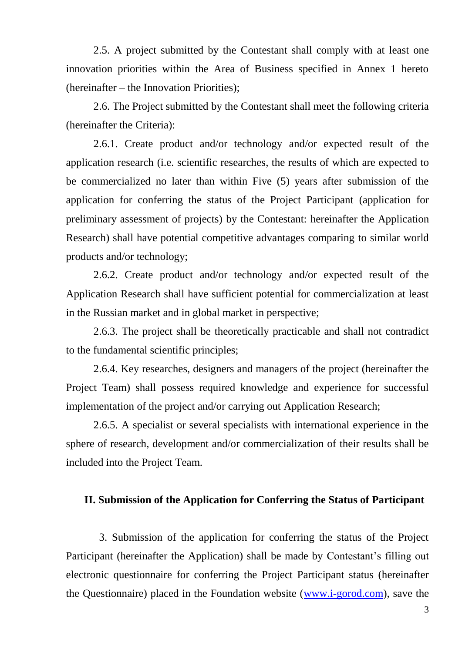2.5. A project submitted by the Contestant shall comply with at least one innovation priorities within the Area of Business specified in Annex 1 hereto (hereinafter – the Innovation Priorities);

2.6. The Project submitted by the Contestant shall meet the following criteria (hereinafter the Criteria):

2.6.1. Create product and/or technology and/or expected result of the application research (i.e. scientific researches, the results of which are expected to be commercialized no later than within Five (5) years after submission of the application for conferring the status of the Project Participant (application for preliminary assessment of projects) by the Contestant: hereinafter the Application Research) shall have potential competitive advantages comparing to similar world products and/or technology;

2.6.2. Create product and/or technology and/or expected result of the Application Research shall have sufficient potential for commercialization at least in the Russian market and in global market in perspective;

2.6.3. The project shall be theoretically practicable and shall not contradict to the fundamental scientific principles;

2.6.4. Key researches, designers and managers of the project (hereinafter the Project Team) shall possess required knowledge and experience for successful implementation of the project and/or carrying out Application Research;

2.6.5. A specialist or several specialists with international experience in the sphere of research, development and/or commercialization of their results shall be included into the Project Team.

#### **II. Submission of the Application for Conferring the Status of Participant**

3. Submission of the application for conferring the status of the Project Participant (hereinafter the Application) shall be made by Contestant's filling out electronic questionnaire for conferring the Project Participant status (hereinafter the Questionnaire) placed in the Foundation website [\(www.i-gorod.com\)](http://www.i-gorod.com/), save the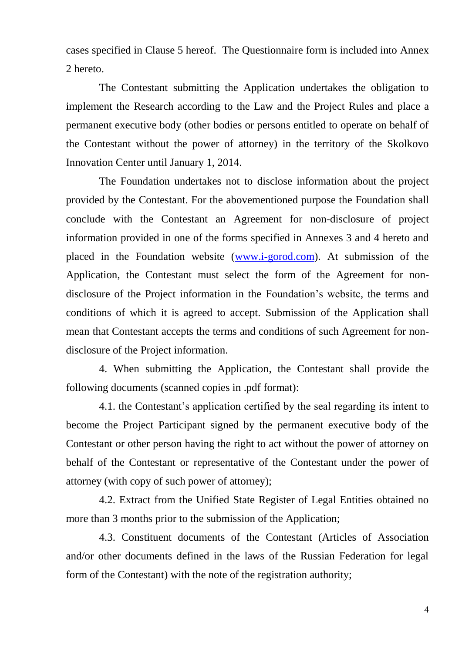cases specified in Clause 5 hereof. The Questionnaire form is included into Annex 2 hereto.

The Contestant submitting the Application undertakes the obligation to implement the Research according to the Law and the Project Rules and place a permanent executive body (other bodies or persons entitled to operate on behalf of the Contestant without the power of attorney) in the territory of the Skolkovo Innovation Center until January 1, 2014.

The Foundation undertakes not to disclose information about the project provided by the Contestant. For the abovementioned purpose the Foundation shall conclude with the Contestant an Agreement for non-disclosure of project information provided in one of the forms specified in Annexes 3 and 4 hereto and placed in the Foundation website [\(www.i-gorod.com\)](http://www.i-gorod.com/). At submission of the Application, the Contestant must select the form of the Agreement for nondisclosure of the Project information in the Foundation's website, the terms and conditions of which it is agreed to accept. Submission of the Application shall mean that Contestant accepts the terms and conditions of such Agreement for nondisclosure of the Project information.

4. When submitting the Application, the Contestant shall provide the following documents (scanned copies in .pdf format):

4.1. the Contestant's application certified by the seal regarding its intent to become the Project Participant signed by the permanent executive body of the Contestant or other person having the right to act without the power of attorney on behalf of the Contestant or representative of the Contestant under the power of attorney (with copy of such power of attorney);

4.2. Extract from the Unified State Register of Legal Entities obtained no more than 3 months prior to the submission of the Application;

4.3. Constituent documents of the Contestant (Articles of Association and/or other documents defined in the laws of the Russian Federation for legal form of the Contestant) with the note of the registration authority;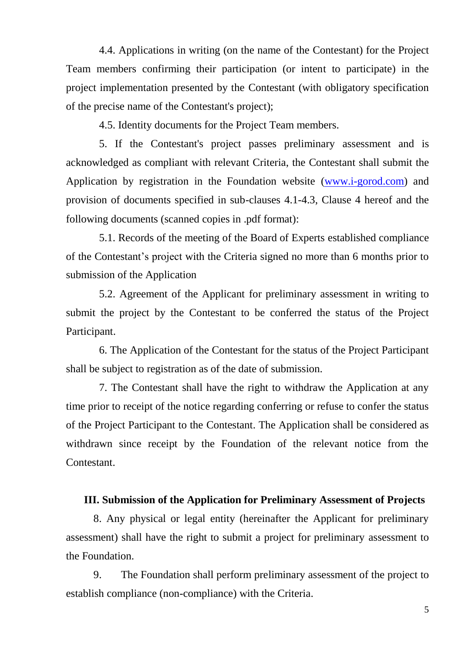4.4. Applications in writing (on the name of the Contestant) for the Project Team members confirming their participation (or intent to participate) in the project implementation presented by the Contestant (with obligatory specification of the precise name of the Contestant's project);

4.5. Identity documents for the Project Team members.

5. If the Contestant's project passes preliminary assessment and is acknowledged as compliant with relevant Criteria, the Contestant shall submit the Application by registration in the Foundation website [\(www.i-gorod.com\)](http://www.i-gorod.com/) and provision of documents specified in sub-clauses 4.1-4.3, Clause 4 hereof and the following documents (scanned copies in .pdf format):

5.1. Records of the meeting of the Board of Experts established compliance of the Contestant's project with the Criteria signed no more than 6 months prior to submission of the Application

5.2. Agreement of the Applicant for preliminary assessment in writing to submit the project by the Contestant to be conferred the status of the Project Participant.

6. The Application of the Contestant for the status of the Project Participant shall be subject to registration as of the date of submission.

7. The Contestant shall have the right to withdraw the Application at any time prior to receipt of the notice regarding conferring or refuse to confer the status of the Project Participant to the Contestant. The Application shall be considered as withdrawn since receipt by the Foundation of the relevant notice from the Contestant.

#### **III. Submission of the Application for Preliminary Assessment of Projects**

8. Any physical or legal entity (hereinafter the Applicant for preliminary assessment) shall have the right to submit a project for preliminary assessment to the Foundation.

9. The Foundation shall perform preliminary assessment of the project to establish compliance (non-compliance) with the Criteria.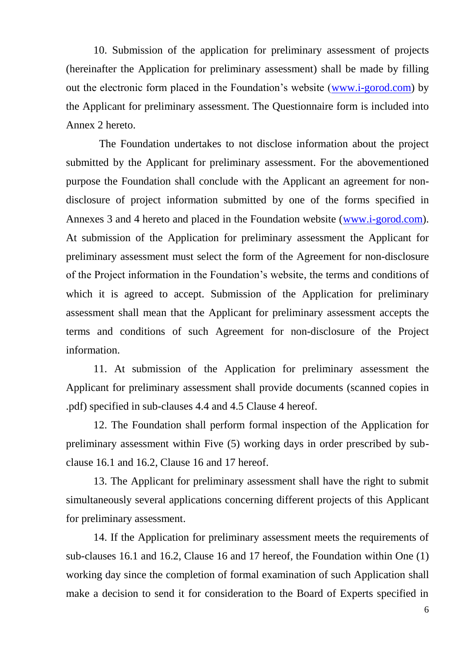10. Submission of the application for preliminary assessment of projects (hereinafter the Application for preliminary assessment) shall be made by filling out the electronic form placed in the Foundation's website [\(www.i-gorod.com\)](http://www.i-gorod.com/) by the Applicant for preliminary assessment. The Questionnaire form is included into Annex 2 hereto.

The Foundation undertakes to not disclose information about the project submitted by the Applicant for preliminary assessment. For the abovementioned purpose the Foundation shall conclude with the Applicant an agreement for nondisclosure of project information submitted by one of the forms specified in Annexes 3 and 4 hereto and placed in the Foundation website [\(www.i-gorod.com\)](http://www.i-gorod.com/). At submission of the Application for preliminary assessment the Applicant for preliminary assessment must select the form of the Agreement for non-disclosure of the Project information in the Foundation's website, the terms and conditions of which it is agreed to accept. Submission of the Application for preliminary assessment shall mean that the Applicant for preliminary assessment accepts the terms and conditions of such Agreement for non-disclosure of the Project information.

11. At submission of the Application for preliminary assessment the Applicant for preliminary assessment shall provide documents (scanned copies in .pdf) specified in sub-clauses 4.4 and 4.5 Clause 4 hereof.

12. The Foundation shall perform formal inspection of the Application for preliminary assessment within Five (5) working days in order prescribed by subclause 16.1 and 16.2, Clause 16 and 17 hereof.

13. The Applicant for preliminary assessment shall have the right to submit simultaneously several applications concerning different projects of this Applicant for preliminary assessment.

14. If the Application for preliminary assessment meets the requirements of sub-clauses 16.1 and 16.2, Clause 16 and 17 hereof, the Foundation within One (1) working day since the completion of formal examination of such Application shall make a decision to send it for consideration to the Board of Experts specified in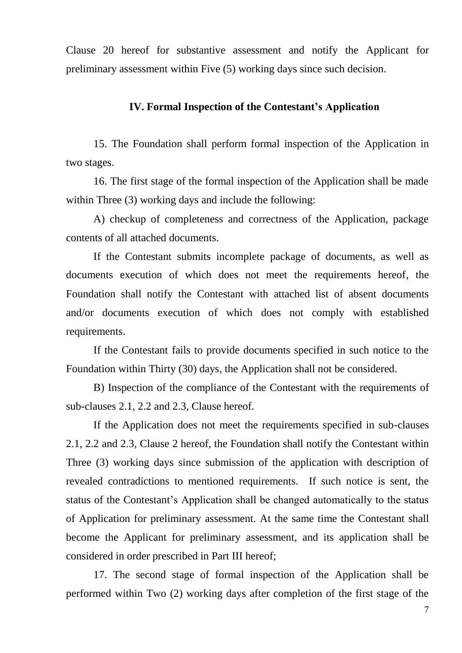Clause 20 hereof for substantive assessment and notify the Applicant for preliminary assessment within Five (5) working days since such decision.

## **IV. Formal Inspection of the Contestant's Application**

15. The Foundation shall perform formal inspection of the Application in two stages.

16. The first stage of the formal inspection of the Application shall be made within Three (3) working days and include the following:

A) checkup of completeness and correctness of the Application, package contents of all attached documents.

If the Contestant submits incomplete package of documents, as well as documents execution of which does not meet the requirements hereof, the Foundation shall notify the Contestant with attached list of absent documents and/or documents execution of which does not comply with established requirements.

If the Contestant fails to provide documents specified in such notice to the Foundation within Thirty (30) days, the Application shall not be considered.

B) Inspection of the compliance of the Contestant with the requirements of sub-clauses 2.1, 2.2 and 2.3, Clause hereof.

If the Application does not meet the requirements specified in sub-clauses 2.1, 2.2 and 2.3, Clause 2 hereof, the Foundation shall notify the Contestant within Three (3) working days since submission of the application with description of revealed contradictions to mentioned requirements. If such notice is sent, the status of the Contestant's Application shall be changed automatically to the status of Application for preliminary assessment. At the same time the Contestant shall become the Applicant for preliminary assessment, and its application shall be considered in order prescribed in Part III hereof;

17. The second stage of formal inspection of the Application shall be performed within Two (2) working days after completion of the first stage of the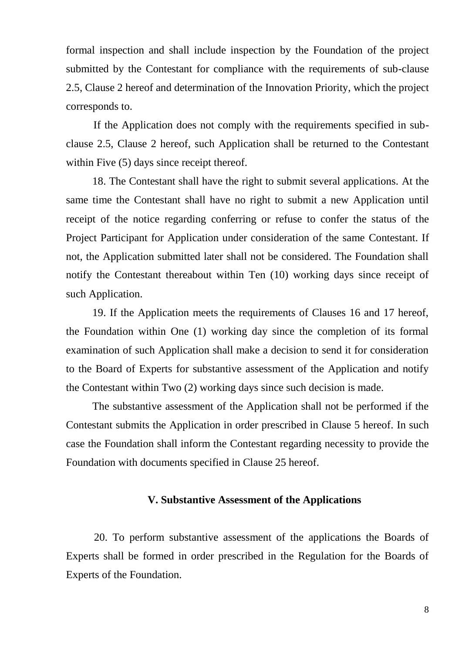formal inspection and shall include inspection by the Foundation of the project submitted by the Contestant for compliance with the requirements of sub-clause 2.5, Clause 2 hereof and determination of the Innovation Priority, which the project corresponds to.

If the Application does not comply with the requirements specified in subclause 2.5, Clause 2 hereof, such Application shall be returned to the Contestant within Five  $(5)$  days since receipt thereof.

18. The Contestant shall have the right to submit several applications. At the same time the Contestant shall have no right to submit a new Application until receipt of the notice regarding conferring or refuse to confer the status of the Project Participant for Application under consideration of the same Contestant. If not, the Application submitted later shall not be considered. The Foundation shall notify the Contestant thereabout within Ten (10) working days since receipt of such Application.

19. If the Application meets the requirements of Clauses 16 and 17 hereof, the Foundation within One (1) working day since the completion of its formal examination of such Application shall make a decision to send it for consideration to the Board of Experts for substantive assessment of the Application and notify the Contestant within Two (2) working days since such decision is made.

The substantive assessment of the Application shall not be performed if the Contestant submits the Application in order prescribed in Clause 5 hereof. In such case the Foundation shall inform the Contestant regarding necessity to provide the Foundation with documents specified in Clause 25 hereof.

# **V. Substantive Assessment of the Applications**

20. To perform substantive assessment of the applications the Boards of Experts shall be formed in order prescribed in the Regulation for the Boards of Experts of the Foundation.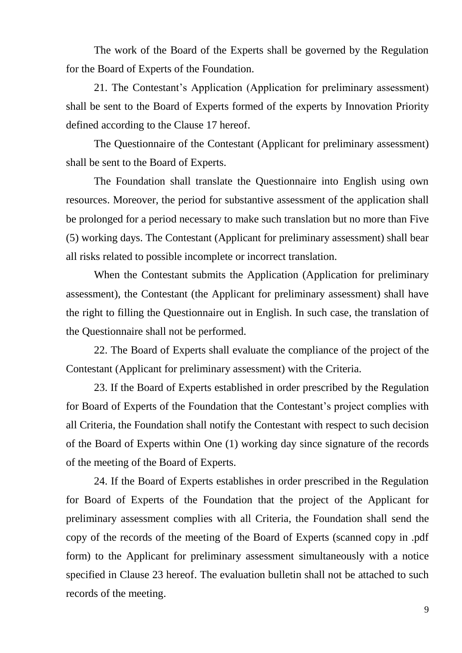The work of the Board of the Experts shall be governed by the Regulation for the Board of Experts of the Foundation.

21. The Contestant's Application (Application for preliminary assessment) shall be sent to the Board of Experts formed of the experts by Innovation Priority defined according to the Clause 17 hereof.

The Questionnaire of the Contestant (Applicant for preliminary assessment) shall be sent to the Board of Experts.

The Foundation shall translate the Questionnaire into English using own resources. Moreover, the period for substantive assessment of the application shall be prolonged for a period necessary to make such translation but no more than Five (5) working days. The Contestant (Applicant for preliminary assessment) shall bear all risks related to possible incomplete or incorrect translation.

When the Contestant submits the Application (Application for preliminary assessment), the Contestant (the Applicant for preliminary assessment) shall have the right to filling the Questionnaire out in English. In such case, the translation of the Questionnaire shall not be performed.

22. The Board of Experts shall evaluate the compliance of the project of the Contestant (Applicant for preliminary assessment) with the Criteria.

23. If the Board of Experts established in order prescribed by the Regulation for Board of Experts of the Foundation that the Contestant's project complies with all Criteria, the Foundation shall notify the Contestant with respect to such decision of the Board of Experts within One (1) working day since signature of the records of the meeting of the Board of Experts.

24. If the Board of Experts establishes in order prescribed in the Regulation for Board of Experts of the Foundation that the project of the Applicant for preliminary assessment complies with all Criteria, the Foundation shall send the copy of the records of the meeting of the Board of Experts (scanned copy in .pdf form) to the Applicant for preliminary assessment simultaneously with a notice specified in Clause 23 hereof. The evaluation bulletin shall not be attached to such records of the meeting.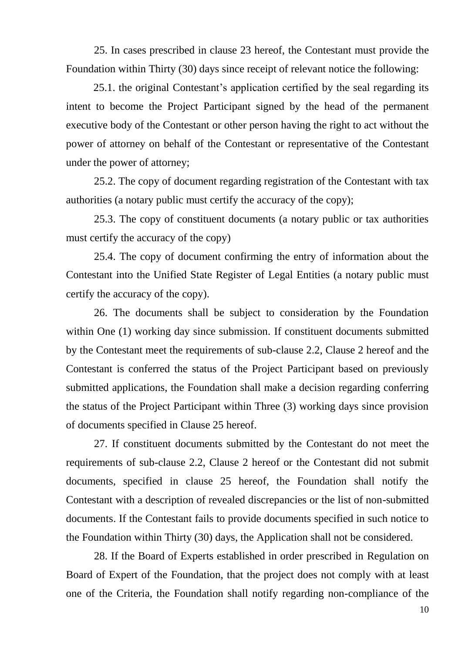25. In cases prescribed in clause 23 hereof, the Contestant must provide the Foundation within Thirty (30) days since receipt of relevant notice the following:

25.1. the original Contestant's application certified by the seal regarding its intent to become the Project Participant signed by the head of the permanent executive body of the Contestant or other person having the right to act without the power of attorney on behalf of the Contestant or representative of the Contestant under the power of attorney;

25.2. The copy of document regarding registration of the Contestant with tax authorities (a notary public must certify the accuracy of the copy);

25.3. The copy of constituent documents (a notary public or tax authorities must certify the accuracy of the copy)

25.4. The copy of document confirming the entry of information about the Contestant into the Unified State Register of Legal Entities (a notary public must certify the accuracy of the copy).

26. The documents shall be subject to consideration by the Foundation within One (1) working day since submission. If constituent documents submitted by the Contestant meet the requirements of sub-clause 2.2, Clause 2 hereof and the Contestant is conferred the status of the Project Participant based on previously submitted applications, the Foundation shall make a decision regarding conferring the status of the Project Participant within Three (3) working days since provision of documents specified in Clause 25 hereof.

27. If constituent documents submitted by the Contestant do not meet the requirements of sub-clause 2.2, Clause 2 hereof or the Contestant did not submit documents, specified in clause 25 hereof, the Foundation shall notify the Contestant with a description of revealed discrepancies or the list of non-submitted documents. If the Contestant fails to provide documents specified in such notice to the Foundation within Thirty (30) days, the Application shall not be considered.

28. If the Board of Experts established in order prescribed in Regulation on Board of Expert of the Foundation, that the project does not comply with at least one of the Criteria, the Foundation shall notify regarding non-compliance of the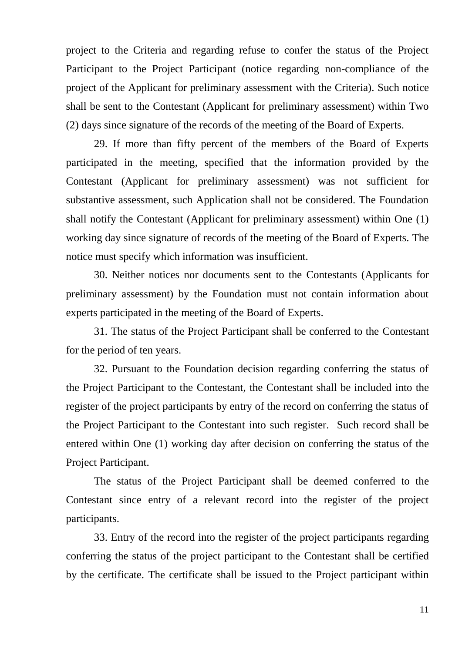project to the Criteria and regarding refuse to confer the status of the Project Participant to the Project Participant (notice regarding non-compliance of the project of the Applicant for preliminary assessment with the Criteria). Such notice shall be sent to the Contestant (Applicant for preliminary assessment) within Two (2) days since signature of the records of the meeting of the Board of Experts.

29. If more than fifty percent of the members of the Board of Experts participated in the meeting, specified that the information provided by the Contestant (Applicant for preliminary assessment) was not sufficient for substantive assessment, such Application shall not be considered. The Foundation shall notify the Contestant (Applicant for preliminary assessment) within One (1) working day since signature of records of the meeting of the Board of Experts. The notice must specify which information was insufficient.

30. Neither notices nor documents sent to the Contestants (Applicants for preliminary assessment) by the Foundation must not contain information about experts participated in the meeting of the Board of Experts.

31. The status of the Project Participant shall be conferred to the Contestant for the period of ten years.

32. Pursuant to the Foundation decision regarding conferring the status of the Project Participant to the Contestant, the Contestant shall be included into the register of the project participants by entry of the record on conferring the status of the Project Participant to the Contestant into such register. Such record shall be entered within One (1) working day after decision on conferring the status of the Project Participant.

The status of the Project Participant shall be deemed conferred to the Contestant since entry of a relevant record into the register of the project participants.

33. Entry of the record into the register of the project participants regarding conferring the status of the project participant to the Contestant shall be certified by the certificate. The certificate shall be issued to the Project participant within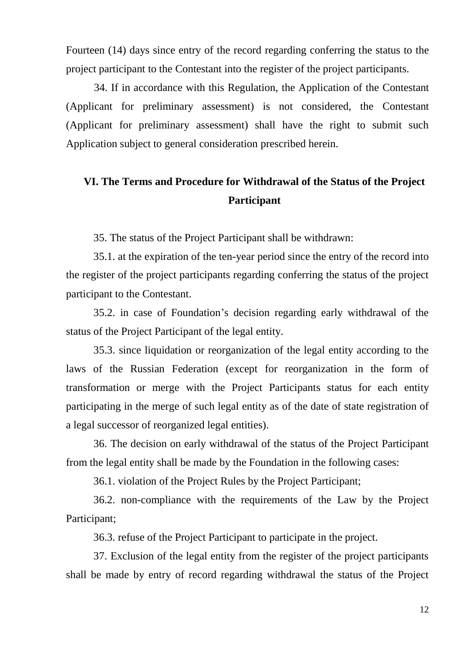Fourteen (14) days since entry of the record regarding conferring the status to the project participant to the Contestant into the register of the project participants.

34. If in accordance with this Regulation, the Application of the Contestant (Applicant for preliminary assessment) is not considered, the Contestant (Applicant for preliminary assessment) shall have the right to submit such Application subject to general consideration prescribed herein.

# **VI. The Terms and Procedure for Withdrawal of the Status of the Project Participant**

35. The status of the Project Participant shall be withdrawn:

35.1. at the expiration of the ten-year period since the entry of the record into the register of the project participants regarding conferring the status of the project participant to the Contestant.

35.2. in case of Foundation's decision regarding early withdrawal of the status of the Project Participant of the legal entity.

35.3. since liquidation or reorganization of the legal entity according to the laws of the Russian Federation (except for reorganization in the form of transformation or merge with the Project Participants status for each entity participating in the merge of such legal entity as of the date of state registration of a legal successor of reorganized legal entities).

36. The decision on early withdrawal of the status of the Project Participant from the legal entity shall be made by the Foundation in the following cases:

36.1. violation of the Project Rules by the Project Participant;

36.2. non-compliance with the requirements of the Law by the Project Participant;

36.3. refuse of the Project Participant to participate in the project.

37. Exclusion of the legal entity from the register of the project participants shall be made by entry of record regarding withdrawal the status of the Project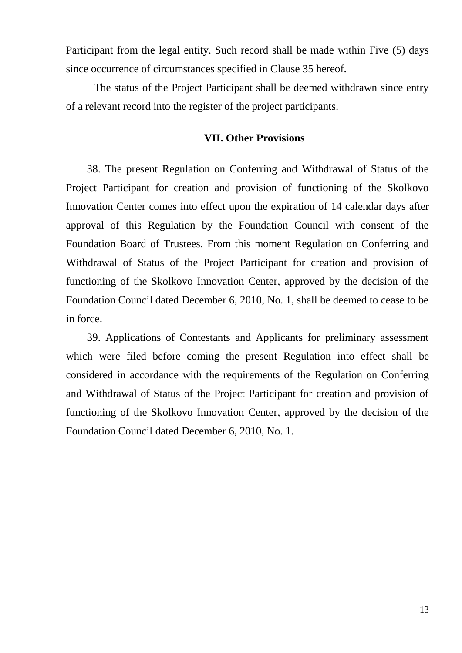Participant from the legal entity. Such record shall be made within Five (5) days since occurrence of circumstances specified in Clause 35 hereof.

The status of the Project Participant shall be deemed withdrawn since entry of a relevant record into the register of the project participants.

#### **VII. Other Provisions**

38. The present Regulation on Conferring and Withdrawal of Status of the Project Participant for creation and provision of functioning of the Skolkovo Innovation Center comes into effect upon the expiration of 14 calendar days after approval of this Regulation by the Foundation Council with consent of the Foundation Board of Trustees. From this moment Regulation on Conferring and Withdrawal of Status of the Project Participant for creation and provision of functioning of the Skolkovo Innovation Center, approved by the decision of the Foundation Council dated December 6, 2010, No. 1, shall be deemed to cease to be in force.

39. Applications of Contestants and Applicants for preliminary assessment which were filed before coming the present Regulation into effect shall be considered in accordance with the requirements of the Regulation on Conferring and Withdrawal of Status of the Project Participant for creation and provision of functioning of the Skolkovo Innovation Center, approved by the decision of the Foundation Council dated December 6, 2010, No. 1.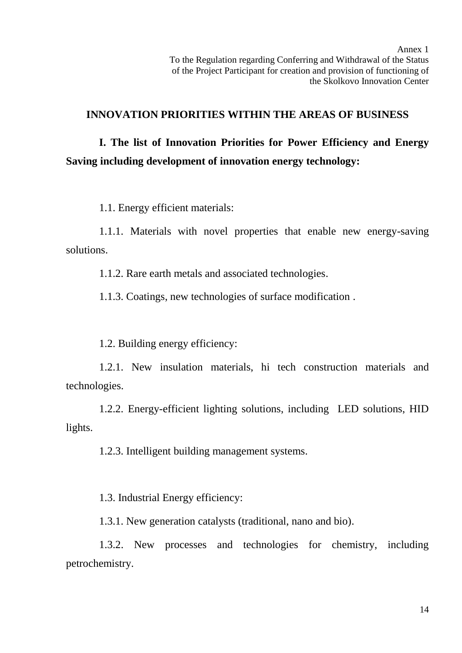# **INNOVATION PRIORITIES WITHIN THE AREAS OF BUSINESS**

**I. The list of Innovation Priorities for Power Efficiency and Energy Saving including development of innovation energy technology:**

1.1. Energy efficient materials:

1.1.1. Materials with novel properties that enable new energy-saving solutions.

1.1.2. Rare earth metals and associated technologies.

1.1.3. Coatings, new technologies of surface modification .

1.2. Building energy efficiency:

1.2.1. New insulation materials, hi tech construction materials and technologies.

1.2.2. Energy-efficient lighting solutions, including LED solutions, HID lights.

1.2.3. Intelligent building management systems.

1.3. Industrial Energy efficiency:

1.3.1. New generation catalysts (traditional, nano and bio).

1.3.2. New processes and technologies for chemistry, including petrochemistry.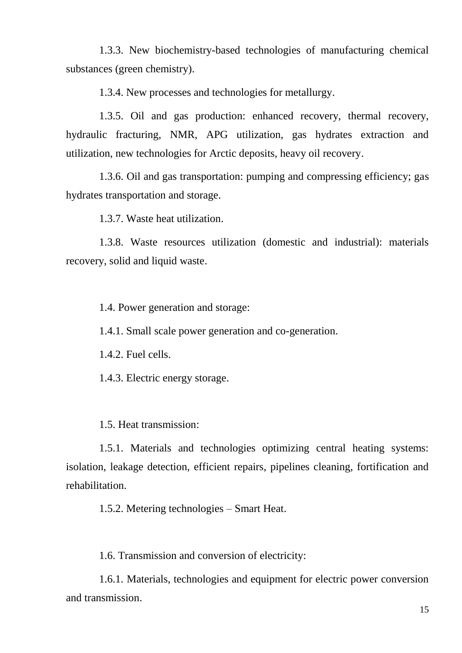1.3.3. New biochemistry-based technologies of manufacturing chemical substances (green chemistry).

1.3.4. New processes and technologies for metallurgy.

1.3.5. Oil and gas production: enhanced recovery, thermal recovery, hydraulic fracturing, NMR, APG utilization, gas hydrates extraction and utilization, new technologies for Arctic deposits, heavy oil recovery.

1.3.6. Oil and gas transportation: pumping and compressing efficiency; gas hydrates transportation and storage.

1.3.7. Waste heat utilization.

1.3.8. Waste resources utilization (domestic and industrial): materials recovery, solid and liquid waste.

1.4. Power generation and storage:

1.4.1. Small scale power generation and co-generation.

1.4.2. Fuel cells.

1.4.3. Electric energy storage.

1.5. Heat transmission:

1.5.1. Materials and technologies optimizing central heating systems: isolation, leakage detection, efficient repairs, pipelines cleaning, fortification and rehabilitation.

1.5.2. Metering technologies – Smart Heat.

1.6. Transmission and conversion of electricity:

1.6.1. Materials, technologies and equipment for electric power conversion and transmission.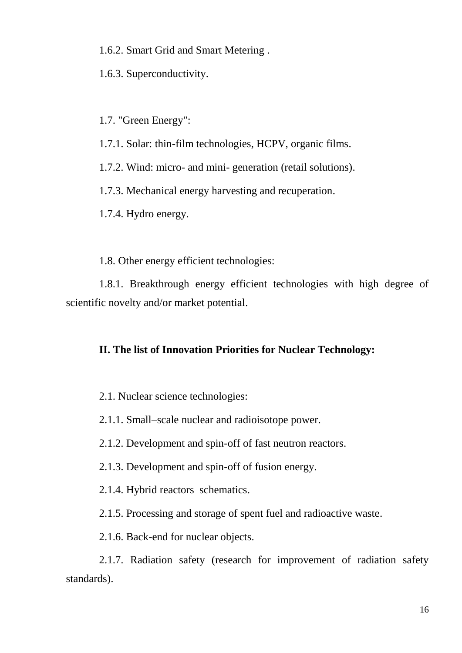1.6.2. Smart Grid and Smart Metering .

1.6.3. Superconductivity.

1.7. "Green Energy":

1.7.1. Solar: thin-film technologies, HCPV, organic films.

1.7.2. Wind: micro- and mini- generation (retail solutions).

1.7.3. Mechanical energy harvesting and recuperation.

1.7.4. Hydro energy.

1.8. Other energy efficient technologies:

1.8.1. Breakthrough energy efficient technologies with high degree of scientific novelty and/or market potential.

# **II. The list of Innovation Priorities for Nuclear Technology:**

2.1. Nuclear science technologies:

2.1.1. Small–scale nuclear and radioisotope power.

2.1.2. Development and spin-off of fast neutron reactors.

2.1.3. Development and spin-off of fusion energy.

2.1.4. Hybrid reactors schematics.

2.1.5. Processing and storage of spent fuel and radioactive waste.

2.1.6. Back-end for nuclear objects.

2.1.7. Radiation safety (research for improvement of radiation safety standards).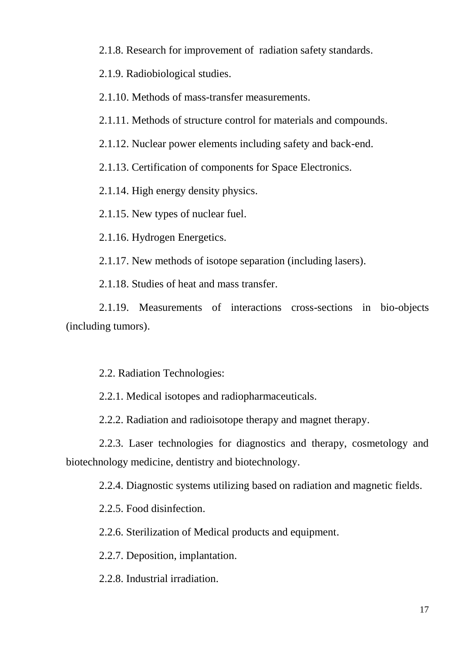2.1.8. Research for improvement of radiation safety standards.

2.1.9. Radiobiological studies.

2.1.10. Methods of mass-transfer measurements.

2.1.11. Methods of structure control for materials and compounds.

2.1.12. Nuclear power elements including safety and back-end.

2.1.13. Certification of components for Space Electronics.

2.1.14. High energy density physics.

2.1.15. New types of nuclear fuel.

2.1.16. Hydrogen Energetics.

2.1.17. New methods of isotope separation (including lasers).

2.1.18. Studies of heat and mass transfer.

2.1.19. Measurements of interactions cross-sections in bio-objects (including tumors).

2.2. Radiation Technologies:

2.2.1. Medical isotopes and radiopharmaceuticals.

2.2.2. Radiation and radioisotope therapy and magnet therapy.

2.2.3. Laser technologies for diagnostics and therapy, cosmetology and biotechnology medicine, dentistry and biotechnology.

2.2.4. Diagnostic systems utilizing based on radiation and magnetic fields.

2.2.5. Food disinfection.

2.2.6. Sterilization of Medical products and equipment.

2.2.7. Deposition, implantation.

2.2.8. Industrial irradiation.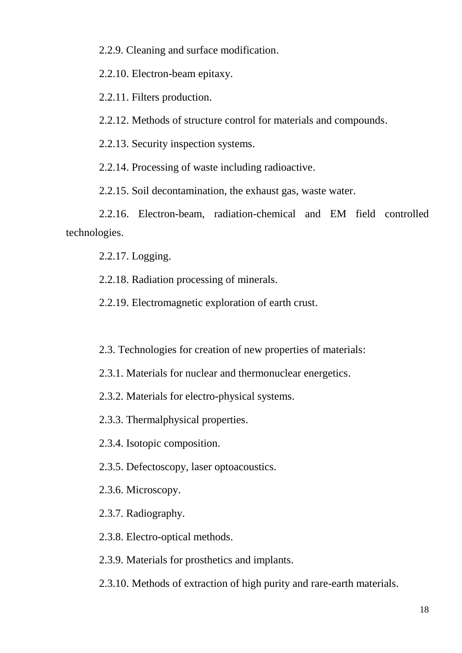2.2.9. Cleaning and surface modification.

2.2.10. Electron-beam epitaxy.

2.2.11. Filters production.

2.2.12. Methods of structure control for materials and compounds.

2.2.13. Security inspection systems.

2.2.14. Processing of waste including radioactive.

2.2.15. Soil decontamination, the exhaust gas, waste water.

2.2.16. Electron-beam, radiation-chemical and EM field controlled technologies.

2.2.17. Logging.

2.2.18. Radiation processing of minerals.

2.2.19. Electromagnetic exploration of earth crust.

2.3. Technologies for creation of new properties of materials:

2.3.1. Materials for nuclear and thermonuclear energetics.

2.3.2. Materials for electro-physical systems.

2.3.3. Thermalphysical properties.

2.3.4. Isotopic composition.

2.3.5. Defectoscopy, laser optoacoustics.

2.3.6. Microscopy.

2.3.7. Radiography.

2.3.8. Electro-optical methods.

2.3.9. Materials for prosthetics and implants.

2.3.10. Methods of extraction of high purity and rare-earth materials.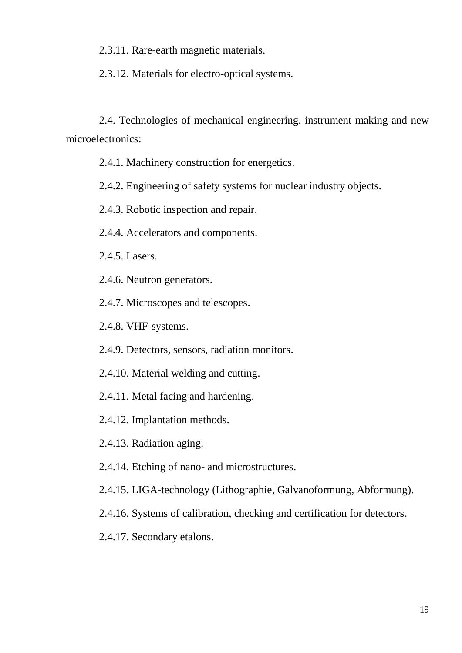2.3.11. Rare-earth magnetic materials.

2.3.12. Materials for electro-optical systems.

2.4. Technologies of mechanical engineering, instrument making and new microelectronics:

- 2.4.1. Machinery construction for energetics.
- 2.4.2. Engineering of safety systems for nuclear industry objects.
- 2.4.3. Robotic inspection and repair.
- 2.4.4. Accelerators and components.
- 2.4.5. Lasers.
- 2.4.6. Neutron generators.
- 2.4.7. Microscopes and telescopes.
- 2.4.8. VHF-systems.
- 2.4.9. Detectors, sensors, radiation monitors.
- 2.4.10. Material welding and cutting.
- 2.4.11. Metal facing and hardening.
- 2.4.12. Implantation methods.
- 2.4.13. Radiation aging.
- 2.4.14. Etching of nano- and microstructures.
- 2.4.15. LIGA-technology (Lithographie, Galvanoformung, Abformung).
- 2.4.16. Systems of calibration, checking and certification for detectors.
- 2.4.17. Secondary etalons.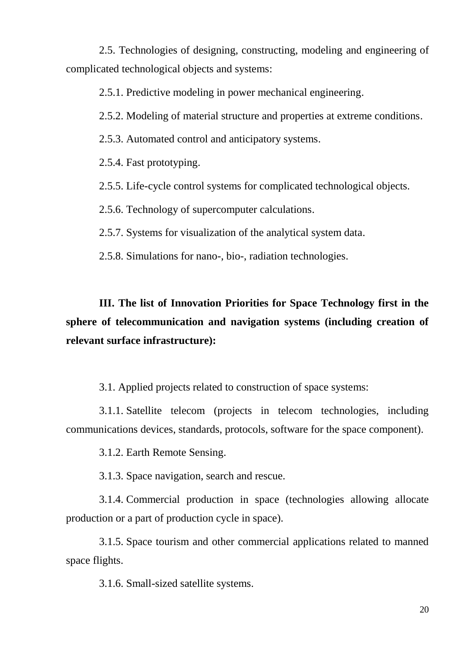2.5. Technologies of designing, constructing, modeling and engineering of complicated technological objects and systems:

2.5.1. Predictive modeling in power mechanical engineering.

2.5.2. Modeling of material structure and properties at extreme conditions.

2.5.3. Automated control and anticipatory systems.

2.5.4. Fast prototyping.

2.5.5. Life-cycle control systems for complicated technological objects.

2.5.6. Technology of supercomputer calculations.

2.5.7. Systems for visualization of the analytical system data.

2.5.8. Simulations for nano-, bio-, radiation technologies.

**III. The list of Innovation Priorities for Space Technology first in the sphere of telecommunication and navigation systems (including creation of relevant surface infrastructure):**

3.1. Applied projects related to construction of space systems:

3.1.1. Satellite telecom (projects in telecom technologies, including communications devices, standards, protocols, software for the space component).

3.1.2. Earth Remote Sensing.

3.1.3. Space navigation, search and rescue.

3.1.4. Commercial production in space (technologies allowing allocate production or a part of production cycle in space).

3.1.5. Space tourism and other commercial applications related to manned space flights.

3.1.6. Small-sized satellite systems.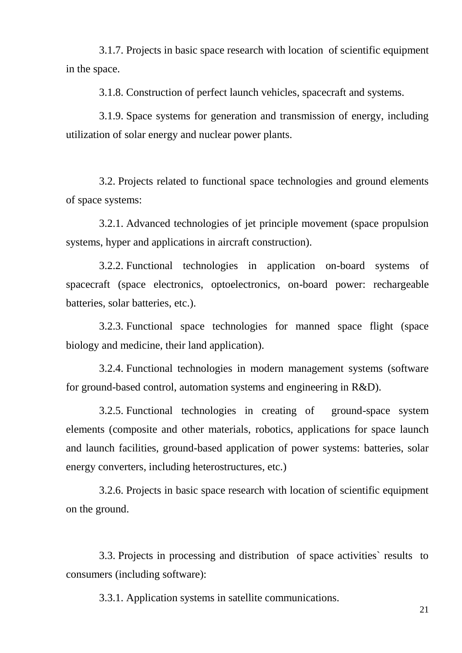3.1.7. Projects in basic space research with location of scientific equipment in the space.

3.1.8. Construction of perfect launch vehicles, spacecraft and systems.

3.1.9. Space systems for generation and transmission of energy, including utilization of solar energy and nuclear power plants.

3.2. Projects related to functional space technologies and ground elements of space systems:

3.2.1. Advanced technologies of jet principle movement (space propulsion systems, hyper and applications in aircraft construction).

3.2.2. Functional technologies in application on-board systems of spacecraft (space electronics, optoelectronics, on-board power: rechargeable batteries, solar batteries, etc.).

3.2.3. Functional space technologies for manned space flight (space biology and medicine, their land application).

3.2.4. Functional technologies in modern management systems (software for ground-based control, automation systems and engineering in R&D).

3.2.5. Functional technologies in creating of ground-space system elements (composite and other materials, robotics, applications for space launch and launch facilities, ground-based application of power systems: batteries, solar energy converters, including heterostructures, etc.)

3.2.6. Projects in basic space research with location of scientific equipment on the ground.

3.3. Projects in processing and distribution of space activities` results to consumers (including software):

3.3.1. Application systems in satellite communications.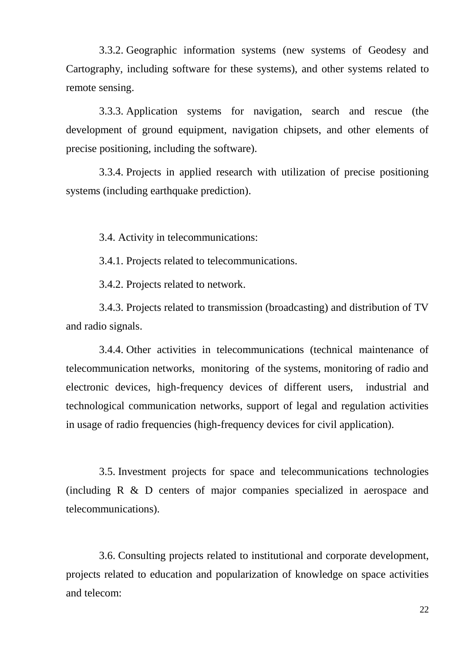3.3.2. Geographic information systems (new systems of Geodesy and Cartography, including software for these systems), and other systems related to remote sensing.

3.3.3. Application systems for navigation, search and rescue (the development of ground equipment, navigation chipsets, and other elements of precise positioning, including the software).

3.3.4. Projects in applied research with utilization of precise positioning systems (including earthquake prediction).

3.4. Activity in telecommunications:

3.4.1. Projects related to telecommunications.

3.4.2. Projects related to network.

3.4.3. Projects related to transmission (broadcasting) and distribution of TV and radio signals.

3.4.4. Other activities in telecommunications (technical maintenance of telecommunication networks, monitoring of the systems, monitoring of radio and electronic devices, high-frequency devices of different users, industrial and technological communication networks, support of legal and regulation activities in usage of radio frequencies (high-frequency devices for civil application).

3.5. Investment projects for space and telecommunications technologies (including R & D centers of major companies specialized in aerospace and telecommunications).

3.6. Consulting projects related to institutional and corporate development, projects related to education and popularization of knowledge on space activities and telecom: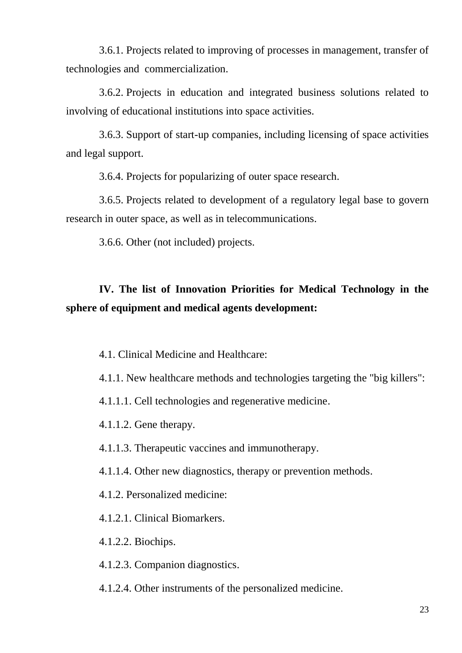3.6.1. Projects related to improving of processes in management, transfer of technologies and commercialization.

3.6.2. Projects in education and integrated business solutions related to involving of educational institutions into space activities.

3.6.3. Support of start-up companies, including licensing of space activities and legal support.

3.6.4. Projects for popularizing of outer space research.

3.6.5. Projects related to development of a regulatory legal base to govern research in outer space, as well as in telecommunications.

3.6.6. Other (not included) projects.

# **IV. The list of Innovation Priorities for Medical Technology in the sphere of equipment and medical agents development:**

4.1. Clinical Medicine and Healthcare:

4.1.1. New healthcare methods and technologies targeting the "big killers":

4.1.1.1. Cell technologies and regenerative medicine.

4.1.1.2. Gene therapy.

4.1.1.3. Therapeutic vaccines and immunotherapy.

4.1.1.4. Other new diagnostics, therapy or prevention methods.

4.1.2. Personalized medicine:

4.1.2.1. Clinical Biomarkers.

4.1.2.2. Biochips.

4.1.2.3. Companion diagnostics.

4.1.2.4. Other instruments of the personalized medicine.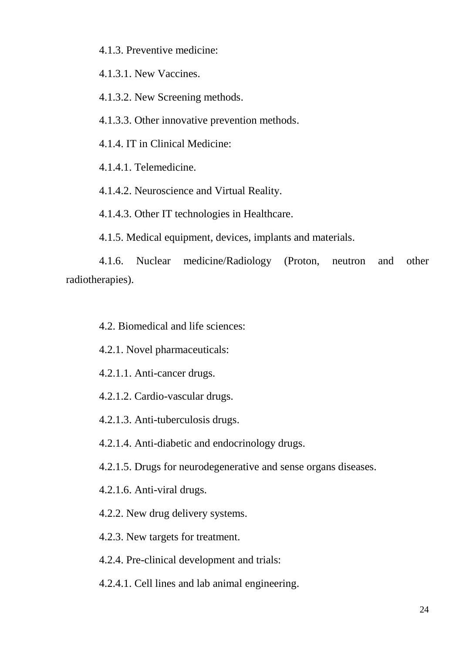4.1.3. Preventive medicine:

4.1.3.1. New Vaccines.

4.1.3.2. New Screening methods.

4.1.3.3. Other innovative prevention methods.

4.1.4. IT in Clinical Medicine:

4.1.4.1. Telemedicine.

4.1.4.2. Neuroscience and Virtual Reality.

4.1.4.3. Other IT technologies in Healthcare.

4.1.5. Medical equipment, devices, implants and materials.

4.1.6. Nuclear medicine/Radiology (Proton, neutron and other radiotherapies).

4.2. Biomedical and life sciences:

4.2.1. Novel pharmaceuticals:

4.2.1.1. Anti-cancer drugs.

4.2.1.2. Cardio-vascular drugs.

4.2.1.3. Anti-tuberculosis drugs.

4.2.1.4. Anti-diabetic and endocrinology drugs.

4.2.1.5. Drugs for neurodegenerative and sense organs diseases.

4.2.1.6. Anti-viral drugs.

4.2.2. New drug delivery systems.

4.2.3. New targets for treatment.

4.2.4. Pre-clinical development and trials:

4.2.4.1. Cell lines and lab animal engineering.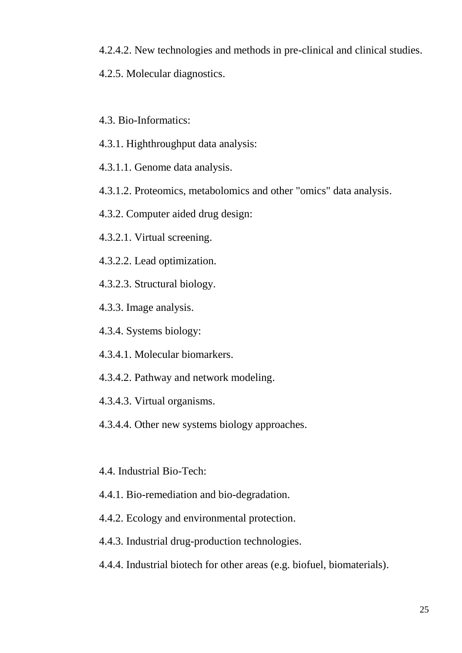4.2.4.2. New technologies and methods in pre-clinical and clinical studies.

4.2.5. Molecular diagnostics.

4.3. Bio-Informatics:

4.3.1. Highthroughput data analysis:

4.3.1.1. Genome data analysis.

4.3.1.2. Proteomics, metabolomics and other "omics" data analysis.

4.3.2. Computer aided drug design:

4.3.2.1. Virtual screening.

4.3.2.2. Lead optimization.

4.3.2.3. Structural biology.

4.3.3. Image analysis.

4.3.4. Systems biology:

4.3.4.1. Molecular biomarkers.

4.3.4.2. Pathway and network modeling.

4.3.4.3. Virtual organisms.

4.3.4.4. Other new systems biology approaches.

4.4. Industrial Bio-Tech:

4.4.1. Bio-remediation and bio-degradation.

4.4.2. Ecology and environmental protection.

4.4.3. Industrial drug-production technologies.

4.4.4. Industrial biotech for other areas (e.g. biofuel, biomaterials).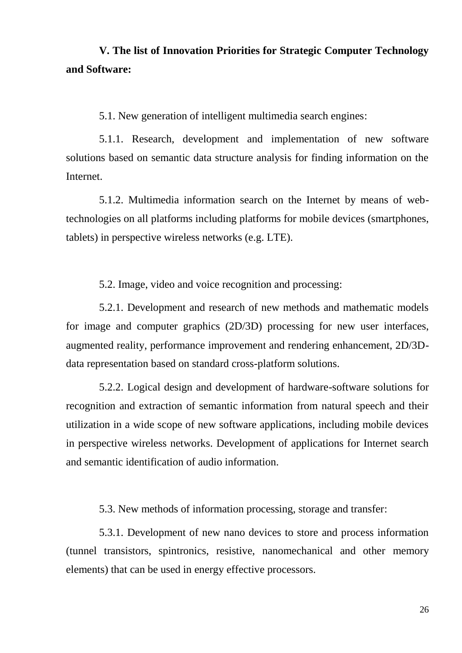# **V. The list of Innovation Priorities for Strategic Computer Technology and Software:**

5.1. New generation of intelligent multimedia search engines:

5.1.1. Research, development and implementation of new software solutions based on semantic data structure analysis for finding information on the Internet.

5.1.2. Multimedia information search on the Internet by means of webtechnologies on all platforms including platforms for mobile devices (smartphones, tablets) in perspective wireless networks (e.g. LTE).

5.2. Image, video and voice recognition and processing:

5.2.1. Development and research of new methods and mathematic models for image and computer graphics (2D/3D) processing for new user interfaces, augmented reality, performance improvement and rendering enhancement, 2D/3Ddata representation based on standard cross-platform solutions.

5.2.2. Logical design and development of hardware-software solutions for recognition and extraction of semantic information from natural speech and their utilization in a wide scope of new software applications, including mobile devices in perspective wireless networks. Development of applications for Internet search and semantic identification of audio information.

5.3. New methods of information processing, storage and transfer:

5.3.1. Development of new nano devices to store and process information (tunnel transistors, spintronics, resistive, nanomechanical and other memory elements) that can be used in energy effective processors.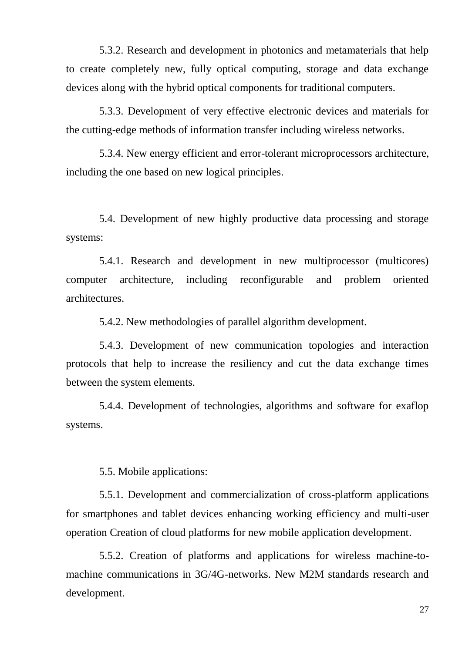5.3.2. Research and development in photonics and metamaterials that help to create completely new, fully optical computing, storage and data exchange devices along with the hybrid optical components for traditional computers.

5.3.3. Development of very effective electronic devices and materials for the cutting-edge methods of information transfer including wireless networks.

5.3.4. New energy efficient and error-tolerant microprocessors architecture, including the one based on new logical principles.

5.4. Development of new highly productive data processing and storage systems:

5.4.1. Research and development in new multiprocessor (multicores) computer architecture, including reconfigurable and problem oriented architectures.

5.4.2. New methodologies of parallel algorithm development.

5.4.3. Development of new communication topologies and interaction protocols that help to increase the resiliency and cut the data exchange times between the system elements.

5.4.4. Development of technologies, algorithms and software for exaflop systems.

5.5. Mobile applications:

5.5.1. Development and commercialization of cross-platform applications for smartphones and tablet devices enhancing working efficiency and multi-user operation Creation of cloud platforms for new mobile application development.

5.5.2. Creation of platforms and applications for wireless machine-tomachine communications in 3G/4G-networks. New M2M standards research and development.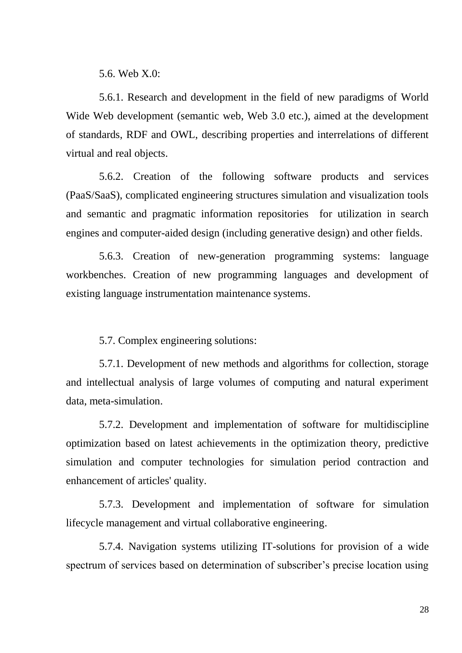5.6. Web X.0:

5.6.1. Research and development in the field of new paradigms of World Wide Web development (semantic web, Web 3.0 etc.), aimed at the development of standards, RDF and OWL, describing properties and interrelations of different virtual and real objects.

5.6.2. Creation of the following software products and services (PaaS/SaaS), complicated engineering structures simulation and visualization tools and semantic and pragmatic information repositories for utilization in search engines and computer-aided design (including generative design) and other fields.

5.6.3. Creation of new-generation programming systems: language workbenches. Creation of new programming languages and development of existing language instrumentation maintenance systems.

5.7. Complex engineering solutions:

5.7.1. Development of new methods and algorithms for collection, storage and intellectual analysis of large volumes of computing and natural experiment data, meta-simulation.

5.7.2. Development and implementation of software for multidiscipline optimization based on latest achievements in the optimization theory, predictive simulation and computer technologies for simulation period contraction and enhancement of articles' quality.

5.7.3. Development and implementation of software for simulation lifecycle management and virtual collaborative engineering.

5.7.4. Navigation systems utilizing IT-solutions for provision of a wide spectrum of services based on determination of subscriber's precise location using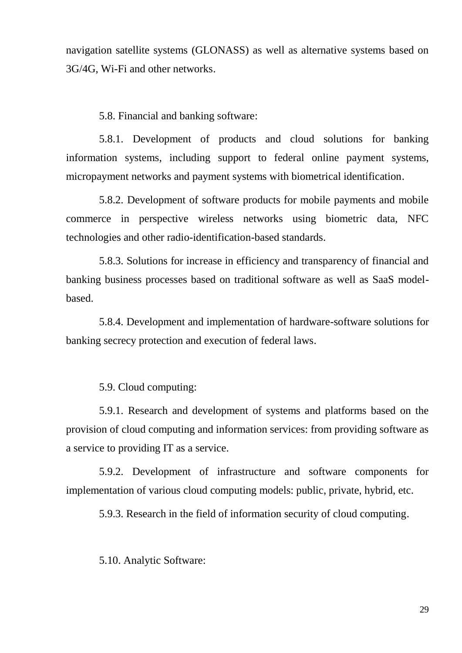navigation satellite systems (GLONASS) as well as alternative systems based on 3G/4G, Wi-Fi and other networks.

5.8. Financial and banking software:

5.8.1. Development of products and cloud solutions for banking information systems, including support to federal online payment systems, micropayment networks and payment systems with biometrical identification.

5.8.2. Development of software products for mobile payments and mobile commerce in perspective wireless networks using biometric data, NFC technologies and other radio-identification-based standards.

5.8.3. Solutions for increase in efficiency and transparency of financial and banking business processes based on traditional software as well as SaaS modelbased.

5.8.4. Development and implementation of hardware-software solutions for banking secrecy protection and execution of federal laws.

5.9. Cloud computing:

5.9.1. Research and development of systems and platforms based on the provision of cloud computing and information services: from providing software as a service to providing IT as a service.

5.9.2. Development of infrastructure and software components for implementation of various cloud computing models: public, private, hybrid, etc.

5.9.3. Research in the field of information security of cloud computing.

5.10. Analytic Software: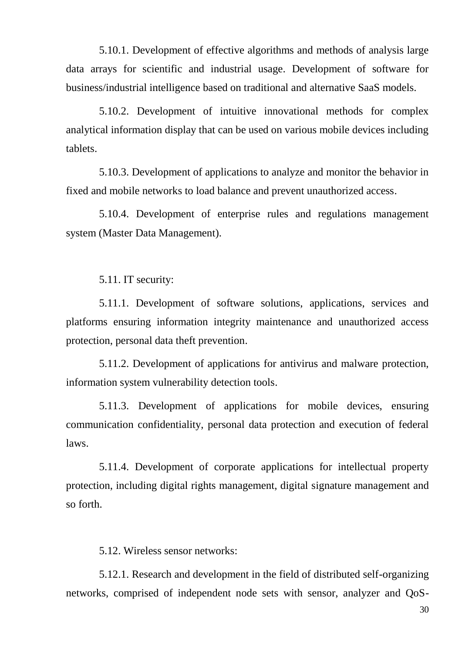5.10.1. Development of effective algorithms and methods of analysis large data arrays for scientific and industrial usage. Development of software for business/industrial intelligence based on traditional and alternative SaaS models.

5.10.2. Development of intuitive innovational methods for complex analytical information display that can be used on various mobile devices including tablets.

5.10.3. Development of applications to analyze and monitor the behavior in fixed and mobile networks to load balance and prevent unauthorized access.

5.10.4. Development of enterprise rules and regulations management system (Master Data Management).

5.11. IT security:

5.11.1. Development of software solutions, applications, services and platforms ensuring information integrity maintenance and unauthorized access protection, personal data theft prevention.

5.11.2. Development of applications for antivirus and malware protection, information system vulnerability detection tools.

5.11.3. Development of applications for mobile devices, ensuring communication confidentiality, personal data protection and execution of federal laws.

5.11.4. Development of corporate applications for intellectual property protection, including digital rights management, digital signature management and so forth.

5.12. Wireless sensor networks:

5.12.1. Research and development in the field of distributed self-organizing networks, comprised of independent node sets with sensor, analyzer and QoS-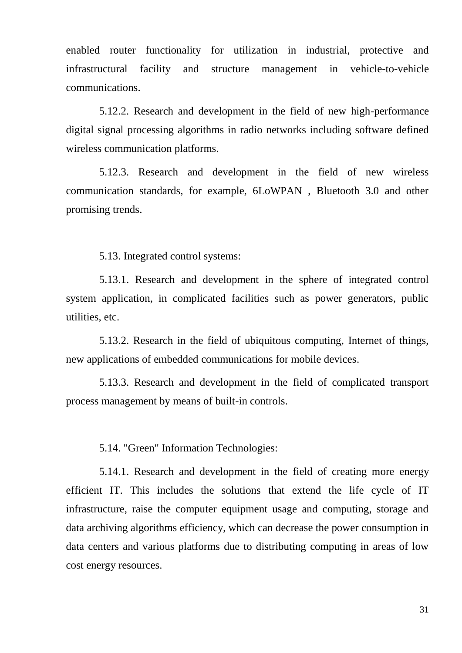enabled router functionality for utilization in industrial, protective and infrastructural facility and structure management in vehicle-to-vehicle communications.

5.12.2. Research and development in the field of new high-performance digital signal processing algorithms in radio networks including software defined wireless communication platforms.

5.12.3. Research and development in the field of new wireless communication standards, for example, 6LoWPAN , Bluetooth 3.0 and other promising trends.

5.13. Integrated control systems:

5.13.1. Research and development in the sphere of integrated control system application, in complicated facilities such as power generators, public utilities, etc.

5.13.2. Research in the field of ubiquitous computing, Internet of things, new applications of embedded communications for mobile devices.

5.13.3. Research and development in the field of complicated transport process management by means of built-in controls.

5.14. "Green" Information Technologies:

5.14.1. Research and development in the field of creating more energy efficient IT. This includes the solutions that extend the life cycle of IT infrastructure, raise the computer equipment usage and computing, storage and data archiving algorithms efficiency, which can decrease the power consumption in data centers and various platforms due to distributing computing in areas of low cost energy resources.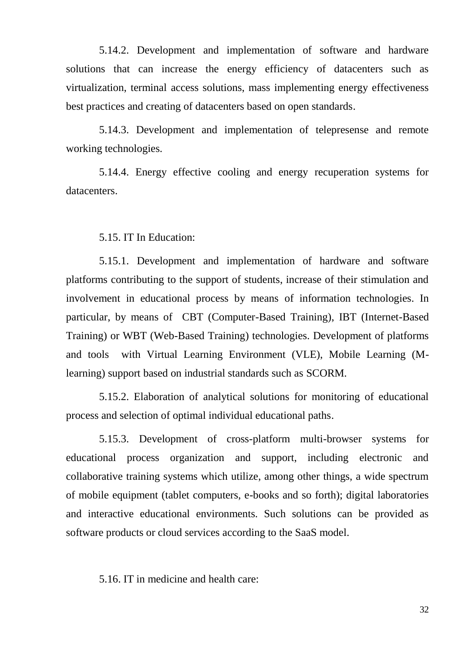5.14.2. Development and implementation of software and hardware solutions that can increase the energy efficiency of datacenters such as virtualization, terminal access solutions, mass implementing energy effectiveness best practices and creating of datacenters based on open standards.

5.14.3. Development and implementation of telepresense and remote working technologies.

5.14.4. Energy effective cooling and energy recuperation systems for datacenters.

5.15. IT In Education:

5.15.1. Development and implementation of hardware and software platforms contributing to the support of students, increase of their stimulation and involvement in educational process by means of information technologies. In particular, by means of CBT (Computer-Based Training), IBT (Internet-Based Training) or WBT (Web-Based Training) technologies. Development of platforms and tools with Virtual Learning Environment (VLE), Mobile Learning (Mlearning) support based on industrial standards such as SCORM.

5.15.2. Elaboration of analytical solutions for monitoring of educational process and selection of optimal individual educational paths.

5.15.3. Development of cross-platform multi-browser systems for educational process organization and support, including electronic and collaborative training systems which utilize, among other things, a wide spectrum of mobile equipment (tablet computers, e-books and so forth); digital laboratories and interactive educational environments. Such solutions can be provided as software products or cloud services according to the SaaS model.

5.16. IT in medicine and health care: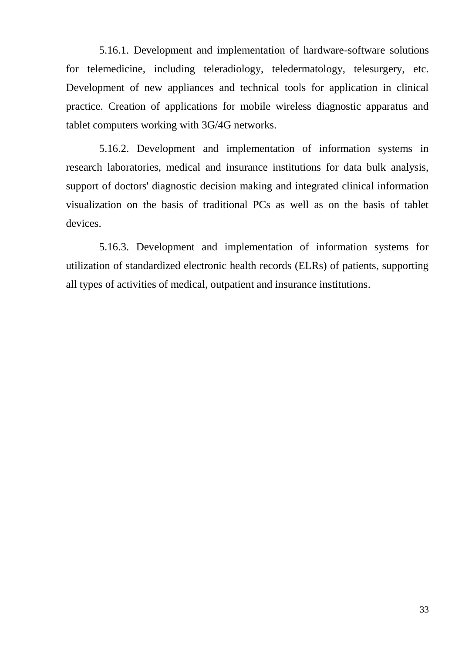5.16.1. Development and implementation of hardware-software solutions for telemedicine, including teleradiology, teledermatology, telesurgery, etc. Development of new appliances and technical tools for application in clinical practice. Creation of applications for mobile wireless diagnostic apparatus and tablet computers working with 3G/4G networks.

5.16.2. Development and implementation of information systems in research laboratories, medical and insurance institutions for data bulk analysis, support of doctors' diagnostic decision making and integrated clinical information visualization on the basis of traditional PCs as well as on the basis of tablet devices.

5.16.3. Development and implementation of information systems for utilization of standardized electronic health records (ELRs) of patients, supporting all types of activities of medical, outpatient and insurance institutions.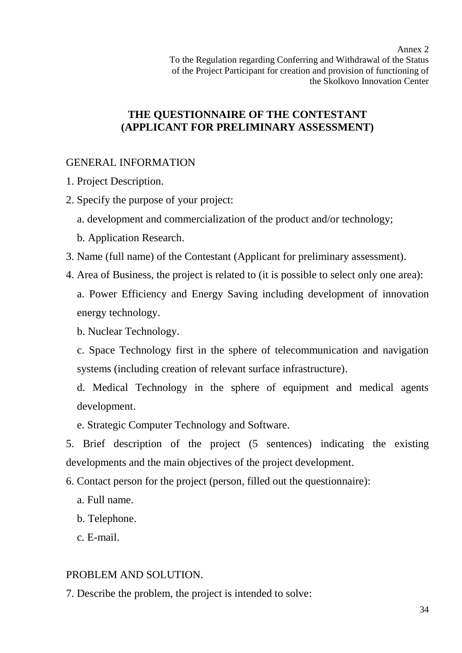Annex 2 To the Regulation regarding Conferring and Withdrawal of the Status of the Project Participant for creation and provision of functioning of the Skolkovo Innovation Center

# **THE QUESTIONNAIRE OF THE CONTESTANT (APPLICANT FOR PRELIMINARY ASSESSMENT)**

# GENERAL INFORMATION

- 1. Project Description.
- 2. Specify the purpose of your project:
	- a. development and commercialization of the product and/or technology;
	- b. Application Research.
- 3. Name (full name) of the Contestant (Applicant for preliminary assessment).
- 4. Area of Business, the project is related to (it is possible to select only one area):

a. Power Efficiency and Energy Saving including development of innovation energy technology.

b. Nuclear Technology.

c. Space Technology first in the sphere of telecommunication and navigation systems (including creation of relevant surface infrastructure).

d. Medical Technology in the sphere of equipment and medical agents development.

e. Strategic Computer Technology and Software.

5. Brief description of the project (5 sentences) indicating the existing developments and the main objectives of the project development.

- 6. Contact person for the project (person, filled out the questionnaire):
	- a. Full name.
	- b. Telephone.
	- c. E-mail.

# PROBLEM AND SOLUTION.

7. Describe the problem, the project is intended to solve: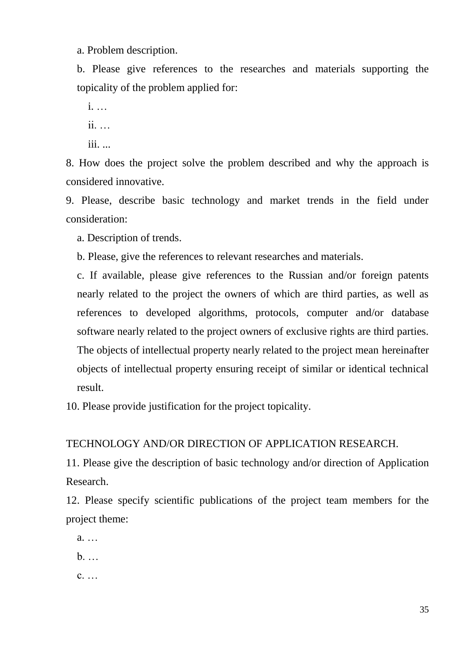a. Problem description.

b. Please give references to the researches and materials supporting the topicality of the problem applied for:

i. … ii. …

iii. ...

8. How does the project solve the problem described and why the approach is considered innovative.

9. Please, describe basic technology and market trends in the field under consideration:

a. Description of trends.

b. Please, give the references to relevant researches and materials.

c. If available, please give references to the Russian and/or foreign patents nearly related to the project the owners of which are third parties, as well as references to developed algorithms, protocols, computer and/or database software nearly related to the project owners of exclusive rights are third parties. The objects of intellectual property nearly related to the project mean hereinafter objects of intellectual property ensuring receipt of similar or identical technical result.

10. Please provide justification for the project topicality.

TECHNOLOGY AND/OR DIRECTION OF APPLICATION RESEARCH.

11. Please give the description of basic technology and/or direction of Application Research.

12. Please specify scientific publications of the project team members for the project theme:

a. …

b. …

c. …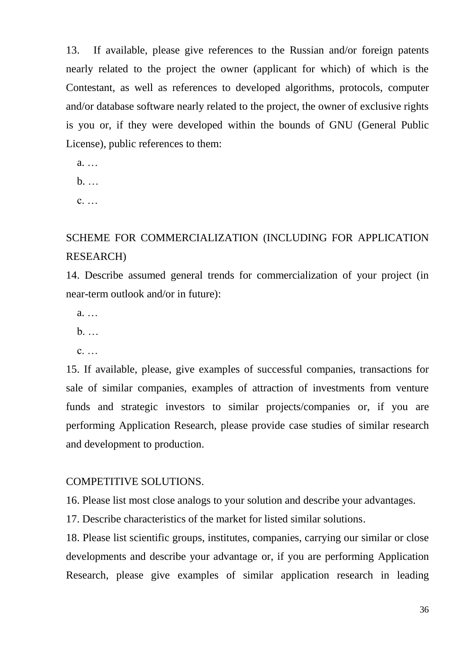13. If available, please give references to the Russian and/or foreign patents nearly related to the project the owner (applicant for which) of which is the Contestant, as well as references to developed algorithms, protocols, computer and/or database software nearly related to the project, the owner of exclusive rights is you or, if they were developed within the bounds of GNU (General Public License), public references to them:

a. …

b. …

c. …

# SCHEME FOR COMMERCIALIZATION (INCLUDING FOR APPLICATION RESEARCH)

14. Describe assumed general trends for commercialization of your project (in near-term outlook and/or in future):

a. …

b. …

c. …

15. If available, please, give examples of successful companies, transactions for sale of similar companies, examples of attraction of investments from venture funds and strategic investors to similar projects/companies or, if you are performing Application Research, please provide case studies of similar research and development to production.

### COMPETITIVE SOLUTIONS.

16. Please list most close analogs to your solution and describe your advantages.

17. Describe characteristics of the market for listed similar solutions.

18. Please list scientific groups, institutes, companies, carrying our similar or close developments and describe your advantage or, if you are performing Application Research, please give examples of similar application research in leading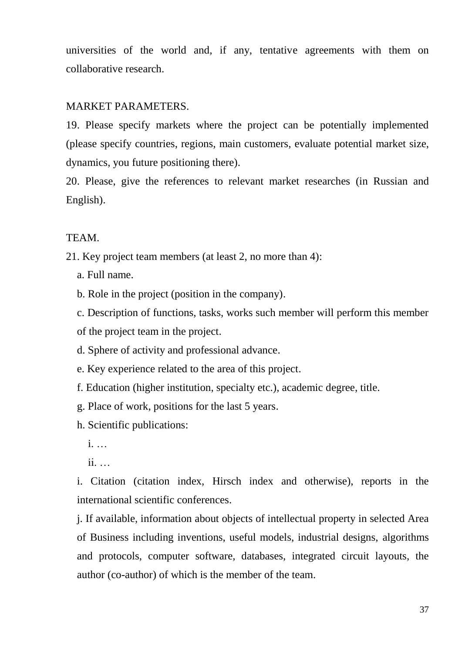universities of the world and, if any, tentative agreements with them on collaborative research.

# MARKET PARAMETERS.

19. Please specify markets where the project can be potentially implemented (please specify countries, regions, main customers, evaluate potential market size, dynamics, you future positioning there).

20. Please, give the references to relevant market researches (in Russian and English).

# TEAM.

21. Key project team members (at least 2, no more than 4):

- a. Full name.
- b. Role in the project (position in the company).

c. Description of functions, tasks, works such member will perform this member of the project team in the project.

- d. Sphere of activity and professional advance.
- e. Key experience related to the area of this project.
- f. Education (higher institution, specialty etc.), academic degree, title.
- g. Place of work, positions for the last 5 years.
- h. Scientific publications:
	- i. …
	- ii. …

i. Citation (citation index, Hirsch index and otherwise), reports in the international scientific conferences.

j. If available, information about objects of intellectual property in selected Area of Business including inventions, useful models, industrial designs, algorithms and protocols, computer software, databases, integrated circuit layouts, the author (co-author) of which is the member of the team.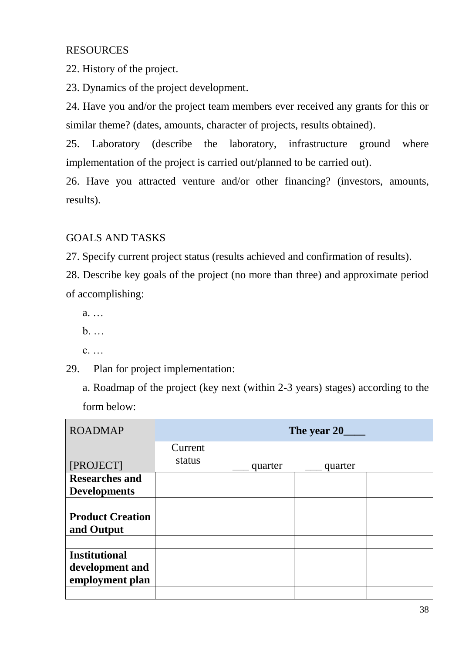# RESOURCES

22. History of the project.

23. Dynamics of the project development.

24. Have you and/or the project team members ever received any grants for this or similar theme? (dates, amounts, character of projects, results obtained).

25. Laboratory (describe the laboratory, infrastructure ground where implementation of the project is carried out/planned to be carried out).

26. Have you attracted venture and/or other financing? (investors, amounts, results).

# GOALS AND TASKS

27. Specify current project status (results achieved and confirmation of results).

28. Describe key goals of the project (no more than three) and approximate period of accomplishing:

- a. …
- b. …
- c. …

29. Plan for project implementation:

a. Roadmap of the project (key next (within 2-3 years) stages) according to the form below:

| <b>ROADMAP</b>          |         |         |         |  |  |  |
|-------------------------|---------|---------|---------|--|--|--|
|                         | Current |         |         |  |  |  |
| [PROJECT]               | status  | quarter | quarter |  |  |  |
| <b>Researches and</b>   |         |         |         |  |  |  |
| <b>Developments</b>     |         |         |         |  |  |  |
|                         |         |         |         |  |  |  |
| <b>Product Creation</b> |         |         |         |  |  |  |
| and Output              |         |         |         |  |  |  |
|                         |         |         |         |  |  |  |
| <b>Institutional</b>    |         |         |         |  |  |  |
| development and         |         |         |         |  |  |  |
| employment plan         |         |         |         |  |  |  |
|                         |         |         |         |  |  |  |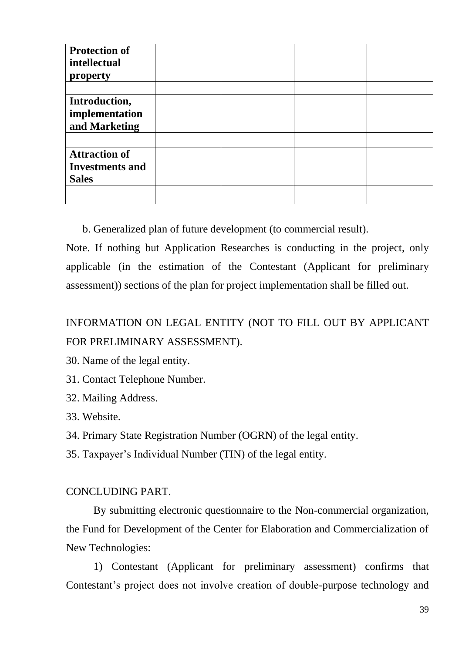| <b>Protection of</b><br>intellectual<br>property               |  |  |
|----------------------------------------------------------------|--|--|
| Introduction,<br>implementation<br>and Marketing               |  |  |
| <b>Attraction of</b><br><b>Investments and</b><br><b>Sales</b> |  |  |

b. Generalized plan of future development (to commercial result).

Note. If nothing but Application Researches is conducting in the project, only applicable (in the estimation of the Contestant (Applicant for preliminary assessment)) sections of the plan for project implementation shall be filled out.

# INFORMATION ON LEGAL ENTITY (NOT TO FILL OUT BY APPLICANT FOR PRELIMINARY ASSESSMENT).

30. Name of the legal entity.

31. Contact Telephone Number.

32. Mailing Address.

33. Website.

34. Primary State Registration Number (OGRN) of the legal entity.

35. Taxpayer's Individual Number (TIN) of the legal entity.

# CONCLUDING PART.

By submitting electronic questionnaire to the Non-commercial organization, the Fund for Development of the Center for Elaboration and Commercialization of New Technologies:

1) Contestant (Applicant for preliminary assessment) confirms that Contestant's project does not involve creation of double-purpose technology and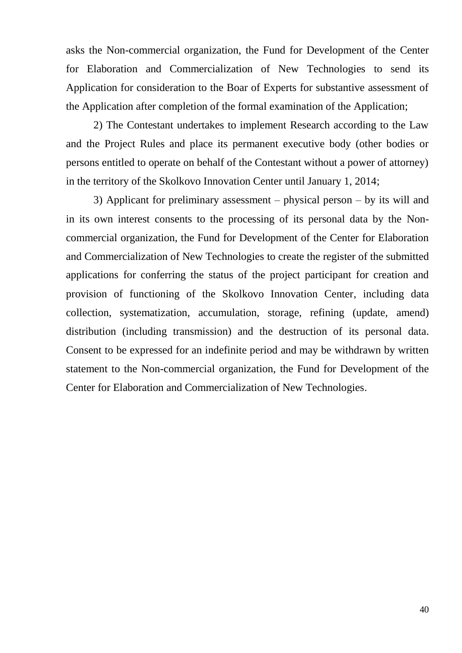asks the Non-commercial organization, the Fund for Development of the Center for Elaboration and Commercialization of New Technologies to send its Application for consideration to the Boar of Experts for substantive assessment of the Application after completion of the formal examination of the Application;

2) The Contestant undertakes to implement Research according to the Law and the Project Rules and place its permanent executive body (other bodies or persons entitled to operate on behalf of the Contestant without a power of attorney) in the territory of the Skolkovo Innovation Center until January 1, 2014;

3) Applicant for preliminary assessment – physical person – by its will and in its own interest consents to the processing of its personal data by the Noncommercial organization, the Fund for Development of the Center for Elaboration and Commercialization of New Technologies to create the register of the submitted applications for conferring the status of the project participant for creation and provision of functioning of the Skolkovo Innovation Center, including data collection, systematization, accumulation, storage, refining (update, amend) distribution (including transmission) and the destruction of its personal data. Consent to be expressed for an indefinite period and may be withdrawn by written statement to the Non-commercial organization, the Fund for Development of the Center for Elaboration and Commercialization of New Technologies.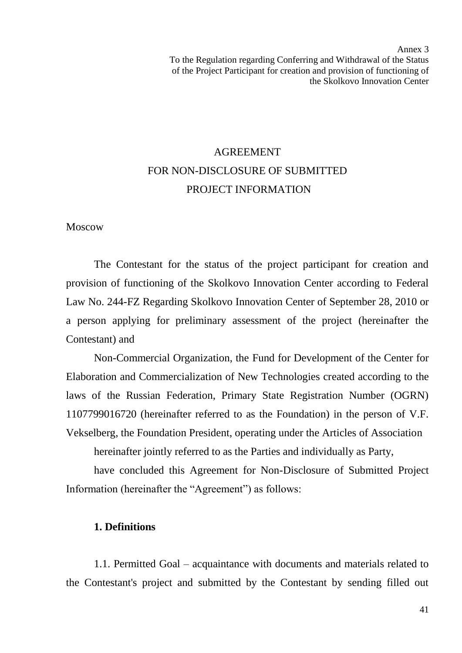Annex 3 To the Regulation regarding Conferring and Withdrawal of the Status of the Project Participant for creation and provision of functioning of the Skolkovo Innovation Center

# AGREEMENT FOR NON-DISCLOSURE OF SUBMITTED PROJECT INFORMATION

Moscow

The Contestant for the status of the project participant for creation and provision of functioning of the Skolkovo Innovation Center according to Federal Law No. 244-FZ Regarding Skolkovo Innovation Center of September 28, 2010 or a person applying for preliminary assessment of the project (hereinafter the Contestant) and

Non-Commercial Organization, the Fund for Development of the Center for Elaboration and Commercialization of New Technologies created according to the laws of the Russian Federation, Primary State Registration Number (OGRN) 1107799016720 (hereinafter referred to as the Foundation) in the person of V.F. Vekselberg, the Foundation President, operating under the Articles of Association

hereinafter jointly referred to as the Parties and individually as Party,

have concluded this Agreement for Non-Disclosure of Submitted Project Information (hereinafter the "Agreement") as follows:

#### **1. Definitions**

1.1. Permitted Goal – acquaintance with documents and materials related to the Contestant's project and submitted by the Contestant by sending filled out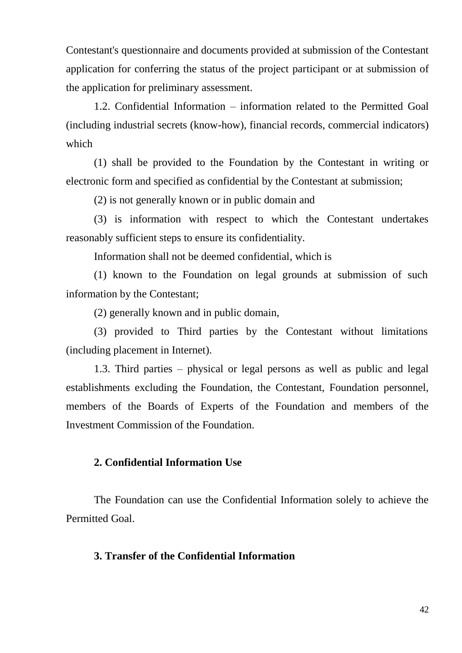Contestant's questionnaire and documents provided at submission of the Contestant application for conferring the status of the project participant or at submission of the application for preliminary assessment.

1.2. Confidential Information – information related to the Permitted Goal (including industrial secrets (know-how), financial records, commercial indicators) which

(1) shall be provided to the Foundation by the Contestant in writing or electronic form and specified as confidential by the Contestant at submission;

(2) is not generally known or in public domain and

(3) is information with respect to which the Contestant undertakes reasonably sufficient steps to ensure its confidentiality.

Information shall not be deemed confidential, which is

(1) known to the Foundation on legal grounds at submission of such information by the Contestant;

(2) generally known and in public domain,

(3) provided to Third parties by the Contestant without limitations (including placement in Internet).

1.3. Third parties – physical or legal persons as well as public and legal establishments excluding the Foundation, the Contestant, Foundation personnel, members of the Boards of Experts of the Foundation and members of the Investment Commission of the Foundation.

## **2. Confidential Information Use**

The Foundation can use the Confidential Information solely to achieve the Permitted Goal.

### **3. Transfer of the Confidential Information**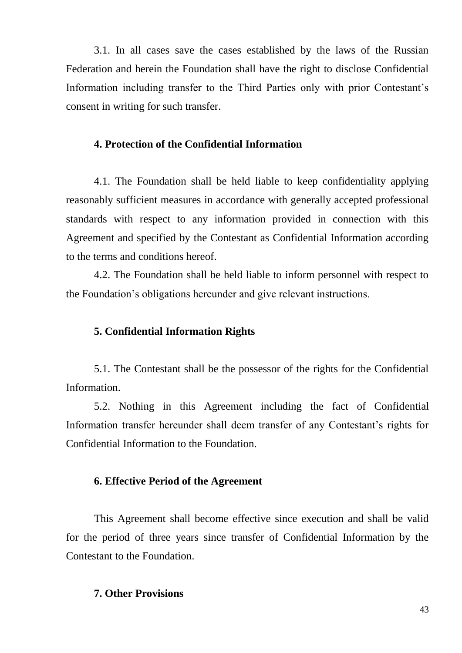3.1. In all cases save the cases established by the laws of the Russian Federation and herein the Foundation shall have the right to disclose Confidential Information including transfer to the Third Parties only with prior Contestant's consent in writing for such transfer.

## **4. Protection of the Confidential Information**

4.1. The Foundation shall be held liable to keep confidentiality applying reasonably sufficient measures in accordance with generally accepted professional standards with respect to any information provided in connection with this Agreement and specified by the Contestant as Confidential Information according to the terms and conditions hereof.

4.2. The Foundation shall be held liable to inform personnel with respect to the Foundation's obligations hereunder and give relevant instructions.

#### **5. Confidential Information Rights**

5.1. The Contestant shall be the possessor of the rights for the Confidential Information.

5.2. Nothing in this Agreement including the fact of Confidential Information transfer hereunder shall deem transfer of any Contestant's rights for Confidential Information to the Foundation.

#### **6. Effective Period of the Agreement**

This Agreement shall become effective since execution and shall be valid for the period of three years since transfer of Confidential Information by the Contestant to the Foundation.

### **7. Other Provisions**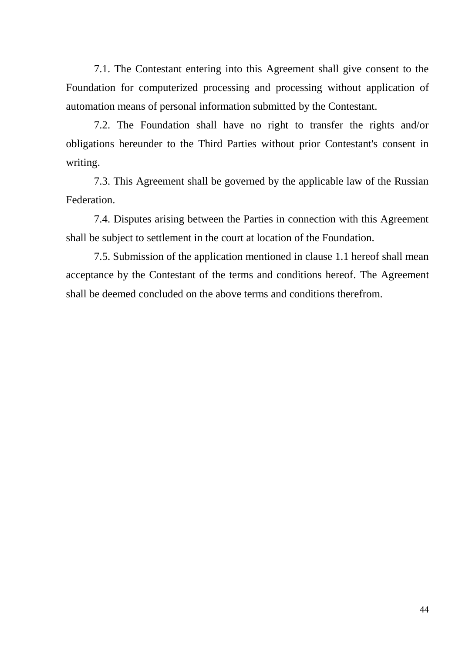7.1. The Contestant entering into this Agreement shall give consent to the Foundation for computerized processing and processing without application of automation means of personal information submitted by the Contestant.

7.2. The Foundation shall have no right to transfer the rights and/or obligations hereunder to the Third Parties without prior Contestant's consent in writing.

7.3. This Agreement shall be governed by the applicable law of the Russian Federation.

7.4. Disputes arising between the Parties in connection with this Agreement shall be subject to settlement in the court at location of the Foundation.

7.5. Submission of the application mentioned in clause 1.1 hereof shall mean acceptance by the Contestant of the terms and conditions hereof. The Agreement shall be deemed concluded on the above terms and conditions therefrom.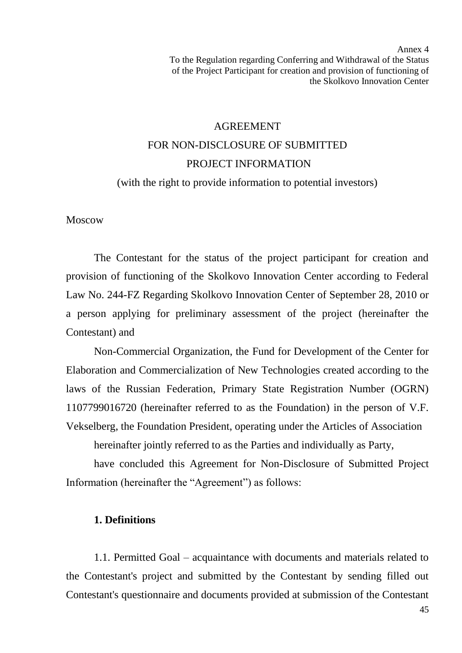Annex 4 To the Regulation regarding Conferring and Withdrawal of the Status of the Project Participant for creation and provision of functioning of the Skolkovo Innovation Center

# AGREEMENT FOR NON-DISCLOSURE OF SUBMITTED PROJECT INFORMATION

(with the right to provide information to potential investors)

Moscow

The Contestant for the status of the project participant for creation and provision of functioning of the Skolkovo Innovation Center according to Federal Law No. 244-FZ Regarding Skolkovo Innovation Center of September 28, 2010 or a person applying for preliminary assessment of the project (hereinafter the Contestant) and

Non-Commercial Organization, the Fund for Development of the Center for Elaboration and Commercialization of New Technologies created according to the laws of the Russian Federation, Primary State Registration Number (OGRN) 1107799016720 (hereinafter referred to as the Foundation) in the person of V.F. Vekselberg, the Foundation President, operating under the Articles of Association

hereinafter jointly referred to as the Parties and individually as Party,

have concluded this Agreement for Non-Disclosure of Submitted Project Information (hereinafter the "Agreement") as follows:

#### **1. Definitions**

1.1. Permitted Goal – acquaintance with documents and materials related to the Contestant's project and submitted by the Contestant by sending filled out Contestant's questionnaire and documents provided at submission of the Contestant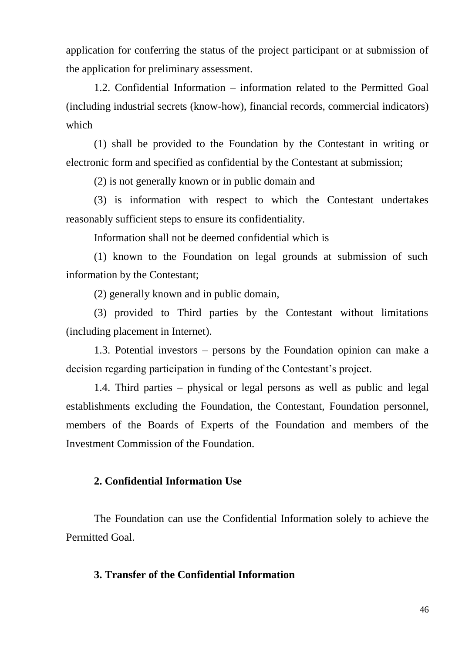application for conferring the status of the project participant or at submission of the application for preliminary assessment.

1.2. Confidential Information – information related to the Permitted Goal (including industrial secrets (know-how), financial records, commercial indicators) which

(1) shall be provided to the Foundation by the Contestant in writing or electronic form and specified as confidential by the Contestant at submission;

(2) is not generally known or in public domain and

(3) is information with respect to which the Contestant undertakes reasonably sufficient steps to ensure its confidentiality.

Information shall not be deemed confidential which is

(1) known to the Foundation on legal grounds at submission of such information by the Contestant;

(2) generally known and in public domain,

(3) provided to Third parties by the Contestant without limitations (including placement in Internet).

1.3. Potential investors – persons by the Foundation opinion can make a decision regarding participation in funding of the Contestant's project.

1.4. Third parties – physical or legal persons as well as public and legal establishments excluding the Foundation, the Contestant, Foundation personnel, members of the Boards of Experts of the Foundation and members of the Investment Commission of the Foundation.

### **2. Confidential Information Use**

The Foundation can use the Confidential Information solely to achieve the Permitted Goal.

#### **3. Transfer of the Confidential Information**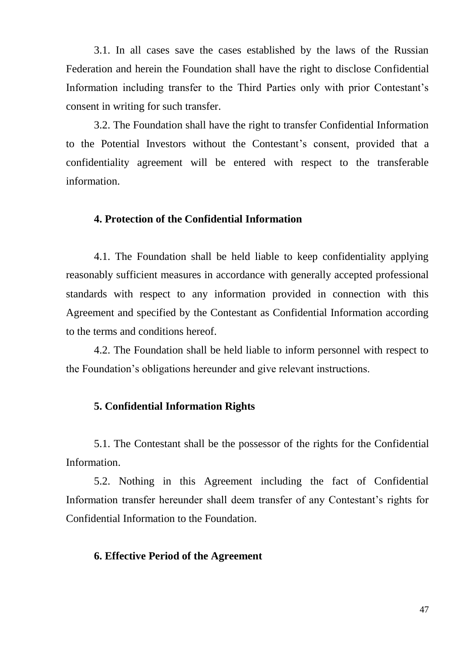3.1. In all cases save the cases established by the laws of the Russian Federation and herein the Foundation shall have the right to disclose Confidential Information including transfer to the Third Parties only with prior Contestant's consent in writing for such transfer.

3.2. The Foundation shall have the right to transfer Confidential Information to the Potential Investors without the Contestant's consent, provided that a confidentiality agreement will be entered with respect to the transferable information.

## **4. Protection of the Confidential Information**

4.1. The Foundation shall be held liable to keep confidentiality applying reasonably sufficient measures in accordance with generally accepted professional standards with respect to any information provided in connection with this Agreement and specified by the Contestant as Confidential Information according to the terms and conditions hereof.

4.2. The Foundation shall be held liable to inform personnel with respect to the Foundation's obligations hereunder and give relevant instructions.

# **5. Confidential Information Rights**

5.1. The Contestant shall be the possessor of the rights for the Confidential Information.

5.2. Nothing in this Agreement including the fact of Confidential Information transfer hereunder shall deem transfer of any Contestant's rights for Confidential Information to the Foundation.

#### **6. Effective Period of the Agreement**